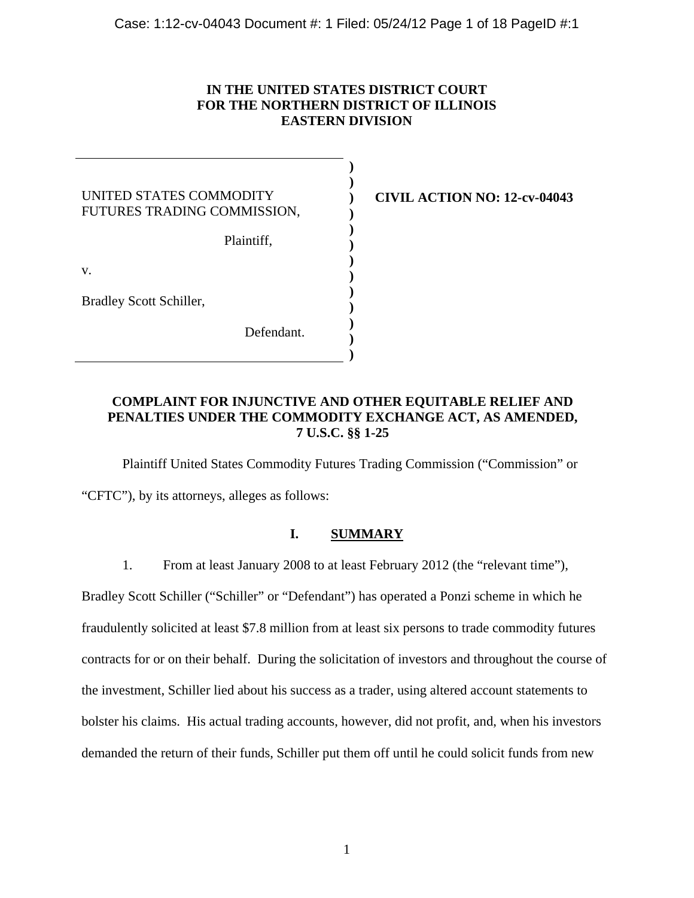# **IN THE UNITED STATES DISTRICT COURT FOR THE NORTHERN DISTRICT OF ILLINOIS EASTERN DIVISION**

| UNITED STATES COMMODITY<br>FUTURES TRADING COMMISSION, |  |
|--------------------------------------------------------|--|
| Plaintiff,                                             |  |
| v.                                                     |  |
| Bradley Scott Schiller,                                |  |
| Defendant.                                             |  |

**CIVIL ACTION NO: 12-cv-04043** 

# **COMPLAINT FOR INJUNCTIVE AND OTHER EQUITABLE RELIEF AND PENALTIES UNDER THE COMMODITY EXCHANGE ACT, AS AMENDED, 7 U.S.C. §§ 1-25**

Plaintiff United States Commodity Futures Trading Commission ("Commission" or

"CFTC"), by its attorneys, alleges as follows:

# **I. SUMMARY**

1. From at least January 2008 to at least February 2012 (the "relevant time"),

Bradley Scott Schiller ("Schiller" or "Defendant") has operated a Ponzi scheme in which he fraudulently solicited at least \$7.8 million from at least six persons to trade commodity futures contracts for or on their behalf. During the solicitation of investors and throughout the course of the investment, Schiller lied about his success as a trader, using altered account statements to bolster his claims. His actual trading accounts, however, did not profit, and, when his investors demanded the return of their funds, Schiller put them off until he could solicit funds from new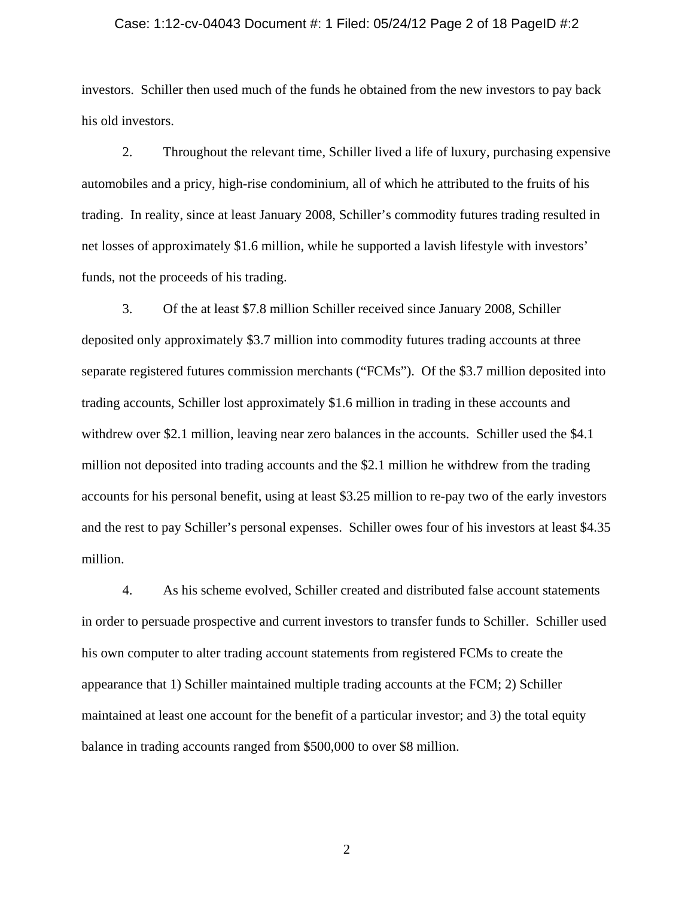#### Case: 1:12-cv-04043 Document #: 1 Filed: 05/24/12 Page 2 of 18 PageID #:2

investors. Schiller then used much of the funds he obtained from the new investors to pay back his old investors.

2. Throughout the relevant time, Schiller lived a life of luxury, purchasing expensive automobiles and a pricy, high-rise condominium, all of which he attributed to the fruits of his trading. In reality, since at least January 2008, Schiller's commodity futures trading resulted in net losses of approximately \$1.6 million, while he supported a lavish lifestyle with investors' funds, not the proceeds of his trading.

3. Of the at least \$7.8 million Schiller received since January 2008, Schiller deposited only approximately \$3.7 million into commodity futures trading accounts at three separate registered futures commission merchants ("FCMs"). Of the \$3.7 million deposited into trading accounts, Schiller lost approximately \$1.6 million in trading in these accounts and withdrew over \$2.1 million, leaving near zero balances in the accounts. Schiller used the \$4.1 million not deposited into trading accounts and the \$2.1 million he withdrew from the trading accounts for his personal benefit, using at least \$3.25 million to re-pay two of the early investors and the rest to pay Schiller's personal expenses. Schiller owes four of his investors at least \$4.35 million.

4. As his scheme evolved, Schiller created and distributed false account statements in order to persuade prospective and current investors to transfer funds to Schiller. Schiller used his own computer to alter trading account statements from registered FCMs to create the appearance that 1) Schiller maintained multiple trading accounts at the FCM; 2) Schiller maintained at least one account for the benefit of a particular investor; and 3) the total equity balance in trading accounts ranged from \$500,000 to over \$8 million.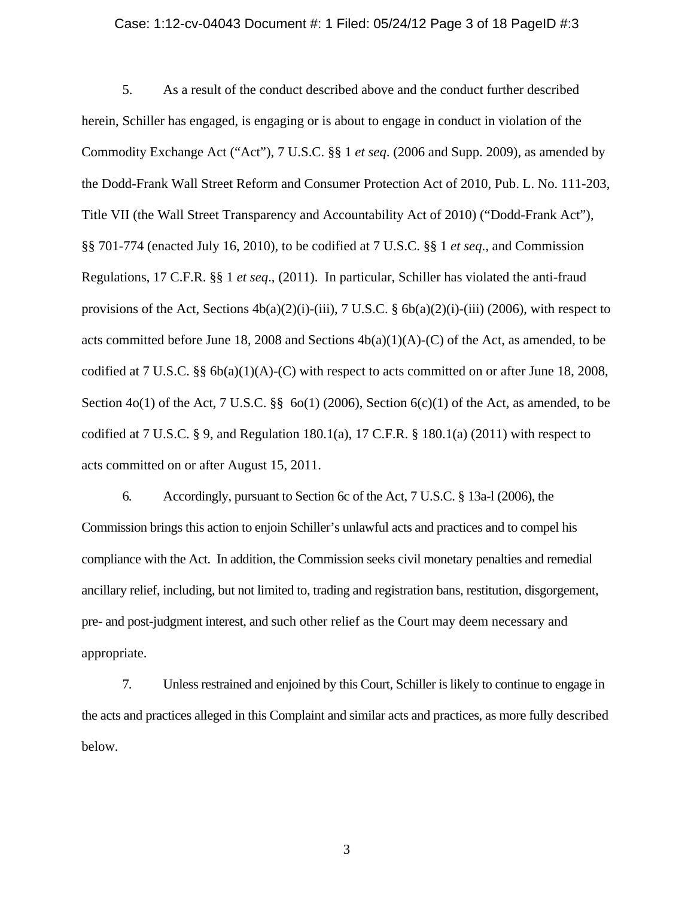## Case: 1:12-cv-04043 Document #: 1 Filed: 05/24/12 Page 3 of 18 PageID #:3

5. As a result of the conduct described above and the conduct further described herein, Schiller has engaged, is engaging or is about to engage in conduct in violation of the Commodity Exchange Act ("Act"), 7 U.S.C. §§ 1 *et seq*. (2006 and Supp. 2009), as amended by the Dodd-Frank Wall Street Reform and Consumer Protection Act of 2010, Pub. L. No. 111-203, Title VII (the Wall Street Transparency and Accountability Act of 2010) ("Dodd-Frank Act"), §§ 701-774 (enacted July 16, 2010), to be codified at 7 U.S.C. §§ 1 *et seq*., and Commission Regulations, 17 C.F.R. §§ 1 *et seq*., (2011). In particular, Schiller has violated the anti-fraud provisions of the Act, Sections  $4b(a)(2)(i)$ -(iii), 7 U.S.C. §  $6b(a)(2)(i)$ -(iii) (2006), with respect to acts committed before June 18, 2008 and Sections  $4b(a)(1)(A)-(C)$  of the Act, as amended, to be codified at 7 U.S.C. §§ 6b(a)(1)(A)-(C) with respect to acts committed on or after June 18, 2008, Section 4o(1) of the Act, 7 U.S.C. §§ 6o(1) (2006), Section 6(c)(1) of the Act, as amended, to be codified at 7 U.S.C. § 9, and Regulation 180.1(a), 17 C.F.R. § 180.1(a) (2011) with respect to acts committed on or after August 15, 2011.

6. Accordingly, pursuant to Section 6c of the Act, 7 U.S.C. § 13a-l (2006), the Commission brings this action to enjoin Schiller's unlawful acts and practices and to compel his compliance with the Act. In addition, the Commission seeks civil monetary penalties and remedial ancillary relief, including, but not limited to, trading and registration bans, restitution, disgorgement, pre- and post-judgment interest, and such other relief as the Court may deem necessary and appropriate.

7. Unless restrained and enjoined by this Court, Schiller is likely to continue to engage in the acts and practices alleged in this Complaint and similar acts and practices, as more fully described below.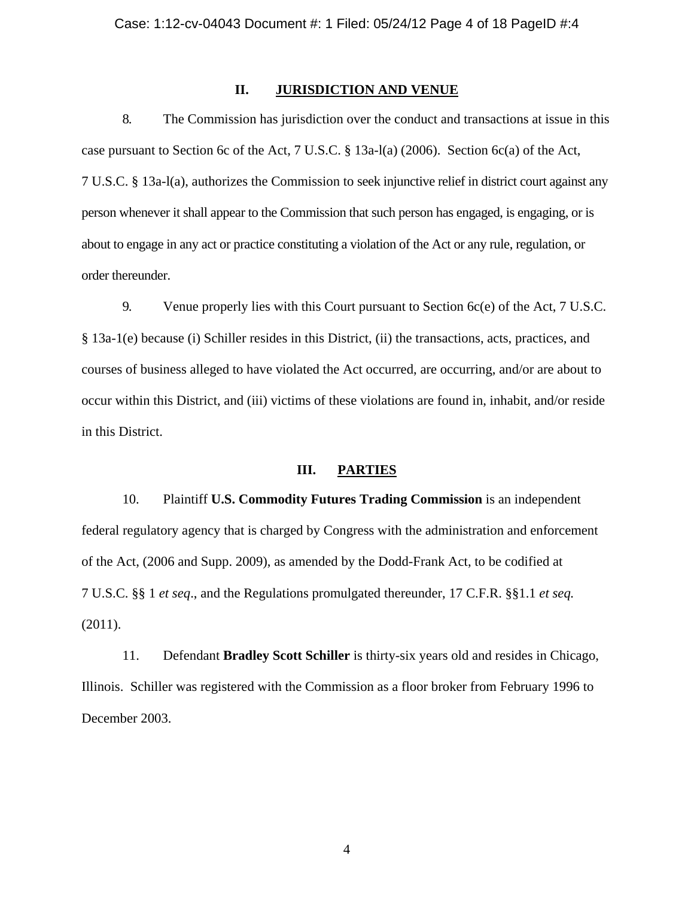## **II. JURISDICTION AND VENUE**

8. The Commission has jurisdiction over the conduct and transactions at issue in this case pursuant to Section 6c of the Act, 7 U.S.C. § 13a-l(a) (2006). Section 6c(a) of the Act, 7 U.S.C. § 13a-l(a), authorizes the Commission to seek injunctive relief in district court against any person whenever it shall appear to the Commission that such person has engaged, is engaging, or is about to engage in any act or practice constituting a violation of the Act or any rule, regulation, or order thereunder.

9. Venue properly lies with this Court pursuant to Section 6c(e) of the Act, 7 U.S.C. § 13a-1(e) because (i) Schiller resides in this District, (ii) the transactions, acts, practices, and courses of business alleged to have violated the Act occurred, are occurring, and/or are about to occur within this District, and (iii) victims of these violations are found in, inhabit, and/or reside in this District.

# **III. PARTIES**

10. Plaintiff **U.S. Commodity Futures Trading Commission** is an independent federal regulatory agency that is charged by Congress with the administration and enforcement of the Act, (2006 and Supp. 2009), as amended by the Dodd-Frank Act, to be codified at 7 U.S.C. §§ 1 *et seq*., and the Regulations promulgated thereunder, 17 C.F.R. §§1.1 *et seq.* (2011).

11. Defendant **Bradley Scott Schiller** is thirty-six years old and resides in Chicago, Illinois. Schiller was registered with the Commission as a floor broker from February 1996 to December 2003.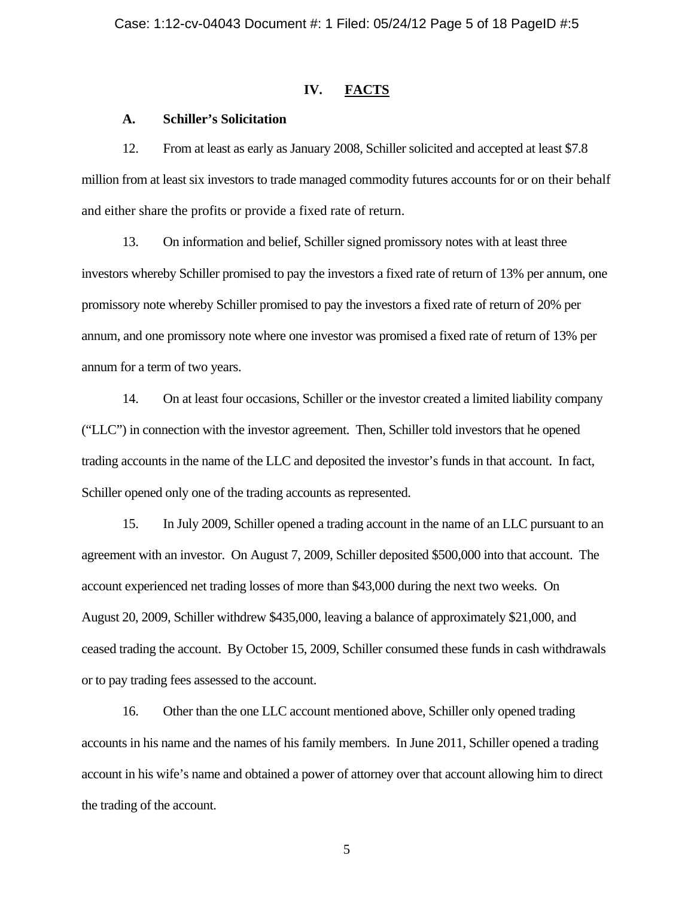# **IV. FACTS**

## **A. Schiller's Solicitation**

12. From at least as early as January 2008, Schiller solicited and accepted at least \$7.8 million from at least six investors to trade managed commodity futures accounts for or on their behalf and either share the profits or provide a fixed rate of return.

13. On information and belief, Schiller signed promissory notes with at least three investors whereby Schiller promised to pay the investors a fixed rate of return of 13% per annum, one promissory note whereby Schiller promised to pay the investors a fixed rate of return of 20% per annum, and one promissory note where one investor was promised a fixed rate of return of 13% per annum for a term of two years.

14. On at least four occasions, Schiller or the investor created a limited liability company ("LLC") in connection with the investor agreement. Then, Schiller told investors that he opened trading accounts in the name of the LLC and deposited the investor's funds in that account. In fact, Schiller opened only one of the trading accounts as represented.

15. In July 2009, Schiller opened a trading account in the name of an LLC pursuant to an agreement with an investor. On August 7, 2009, Schiller deposited \$500,000 into that account. The account experienced net trading losses of more than \$43,000 during the next two weeks. On August 20, 2009, Schiller withdrew \$435,000, leaving a balance of approximately \$21,000, and ceased trading the account. By October 15, 2009, Schiller consumed these funds in cash withdrawals or to pay trading fees assessed to the account.

16. Other than the one LLC account mentioned above, Schiller only opened trading accounts in his name and the names of his family members. In June 2011, Schiller opened a trading account in his wife's name and obtained a power of attorney over that account allowing him to direct the trading of the account.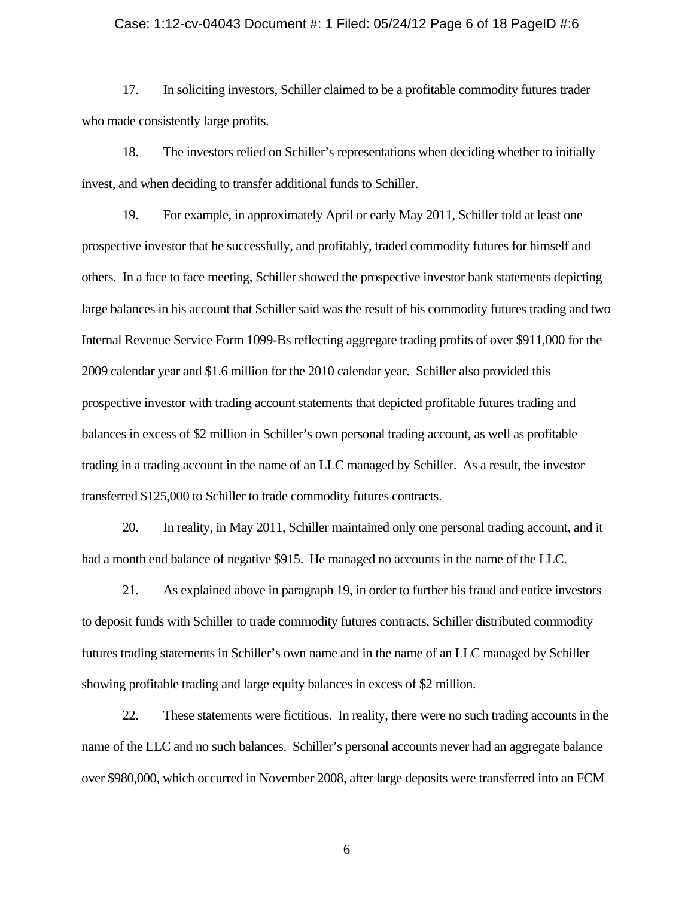#### Case: 1:12-cv-04043 Document #: 1 Filed: 05/24/12 Page 6 of 18 PageID #:6

17. In soliciting investors, Schiller claimed to be a profitable commodity futures trader who made consistently large profits.

18. The investors relied on Schiller's representations when deciding whether to initially invest, and when deciding to transfer additional funds to Schiller.

19. For example, in approximately April or early May 2011, Schiller told at least one prospective investor that he successfully, and profitably, traded commodity futures for himself and others. In a face to face meeting, Schiller showed the prospective investor bank statements depicting large balances in his account that Schiller said was the result of his commodity futures trading and two Internal Revenue Service Form 1099-Bs reflecting aggregate trading profits of over \$911,000 for the 2009 calendar year and \$1.6 million for the 2010 calendar year. Schiller also provided this prospective investor with trading account statements that depicted profitable futures trading and balances in excess of \$2 million in Schiller's own personal trading account, as well as profitable trading in a trading account in the name of an LLC managed by Schiller. As a result, the investor transferred \$125,000 to Schiller to trade commodity futures contracts.

20. In reality, in May 2011, Schiller maintained only one personal trading account, and it had a month end balance of negative \$915. He managed no accounts in the name of the LLC.

21. As explained above in paragraph 19, in order to further his fraud and entice investors to deposit funds with Schiller to trade commodity futures contracts, Schiller distributed commodity futures trading statements in Schiller's own name and in the name of an LLC managed by Schiller showing profitable trading and large equity balances in excess of \$2 million.

22. These statements were fictitious. In reality, there were no such trading accounts in the name of the LLC and no such balances. Schiller's personal accounts never had an aggregate balance over \$980,000, which occurred in November 2008, after large deposits were transferred into an FCM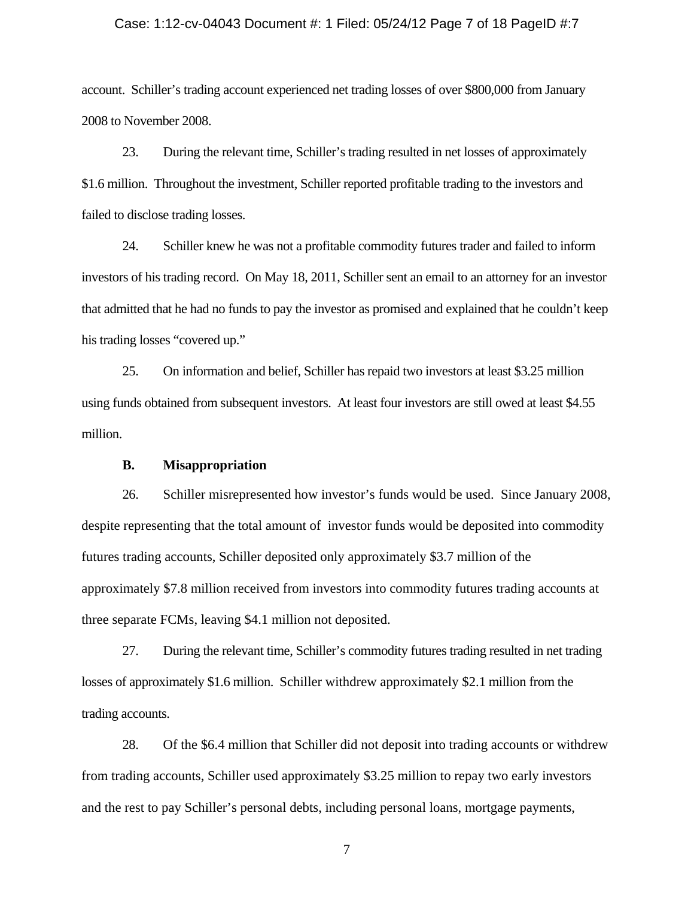#### Case: 1:12-cv-04043 Document #: 1 Filed: 05/24/12 Page 7 of 18 PageID #:7

account. Schiller's trading account experienced net trading losses of over \$800,000 from January 2008 to November 2008.

23. During the relevant time, Schiller's trading resulted in net losses of approximately \$1.6 million. Throughout the investment, Schiller reported profitable trading to the investors and failed to disclose trading losses.

24. Schiller knew he was not a profitable commodity futures trader and failed to inform investors of his trading record. On May 18, 2011, Schiller sent an email to an attorney for an investor that admitted that he had no funds to pay the investor as promised and explained that he couldn't keep his trading losses "covered up."

25. On information and belief, Schiller has repaid two investors at least \$3.25 million using funds obtained from subsequent investors. At least four investors are still owed at least \$4.55 million.

## **B. Misappropriation**

26. Schiller misrepresented how investor's funds would be used. Since January 2008, despite representing that the total amount of investor funds would be deposited into commodity futures trading accounts, Schiller deposited only approximately \$3.7 million of the approximately \$7.8 million received from investors into commodity futures trading accounts at three separate FCMs, leaving \$4.1 million not deposited.

27. During the relevant time, Schiller's commodity futures trading resulted in net trading losses of approximately \$1.6 million. Schiller withdrew approximately \$2.1 million from the trading accounts.

28. Of the \$6.4 million that Schiller did not deposit into trading accounts or withdrew from trading accounts, Schiller used approximately \$3.25 million to repay two early investors and the rest to pay Schiller's personal debts, including personal loans, mortgage payments,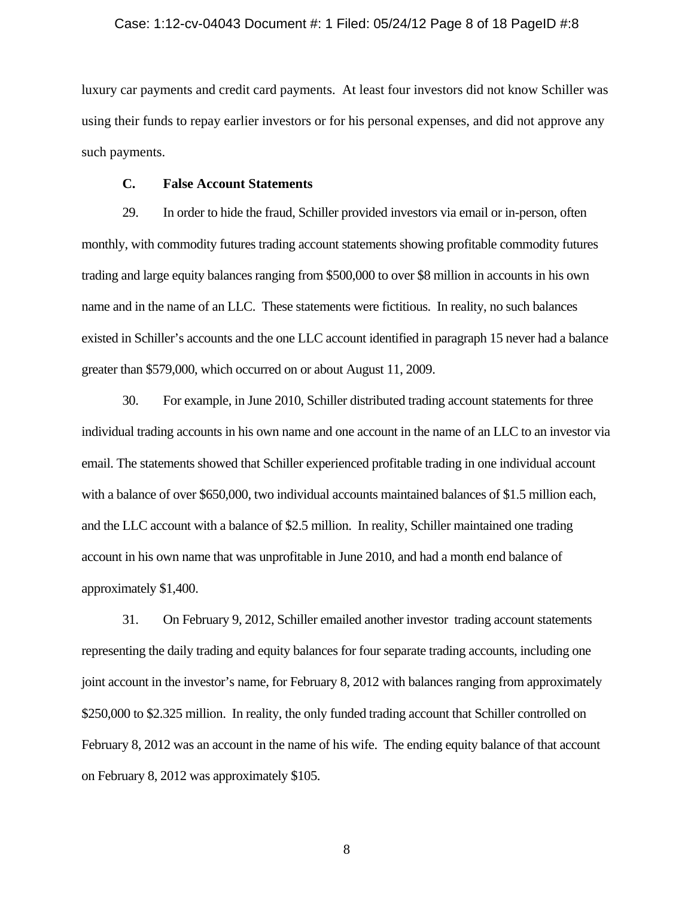#### Case: 1:12-cv-04043 Document #: 1 Filed: 05/24/12 Page 8 of 18 PageID #:8

luxury car payments and credit card payments. At least four investors did not know Schiller was using their funds to repay earlier investors or for his personal expenses, and did not approve any such payments.

## **C. False Account Statements**

29. In order to hide the fraud, Schiller provided investors via email or in-person, often monthly, with commodity futures trading account statements showing profitable commodity futures trading and large equity balances ranging from \$500,000 to over \$8 million in accounts in his own name and in the name of an LLC. These statements were fictitious. In reality, no such balances existed in Schiller's accounts and the one LLC account identified in paragraph 15 never had a balance greater than \$579,000, which occurred on or about August 11, 2009.

30. For example, in June 2010, Schiller distributed trading account statements for three individual trading accounts in his own name and one account in the name of an LLC to an investor via email. The statements showed that Schiller experienced profitable trading in one individual account with a balance of over \$650,000, two individual accounts maintained balances of \$1.5 million each, and the LLC account with a balance of \$2.5 million. In reality, Schiller maintained one trading account in his own name that was unprofitable in June 2010, and had a month end balance of approximately \$1,400.

31. On February 9, 2012, Schiller emailed another investor trading account statements representing the daily trading and equity balances for four separate trading accounts, including one joint account in the investor's name, for February 8, 2012 with balances ranging from approximately \$250,000 to \$2.325 million. In reality, the only funded trading account that Schiller controlled on February 8, 2012 was an account in the name of his wife. The ending equity balance of that account on February 8, 2012 was approximately \$105.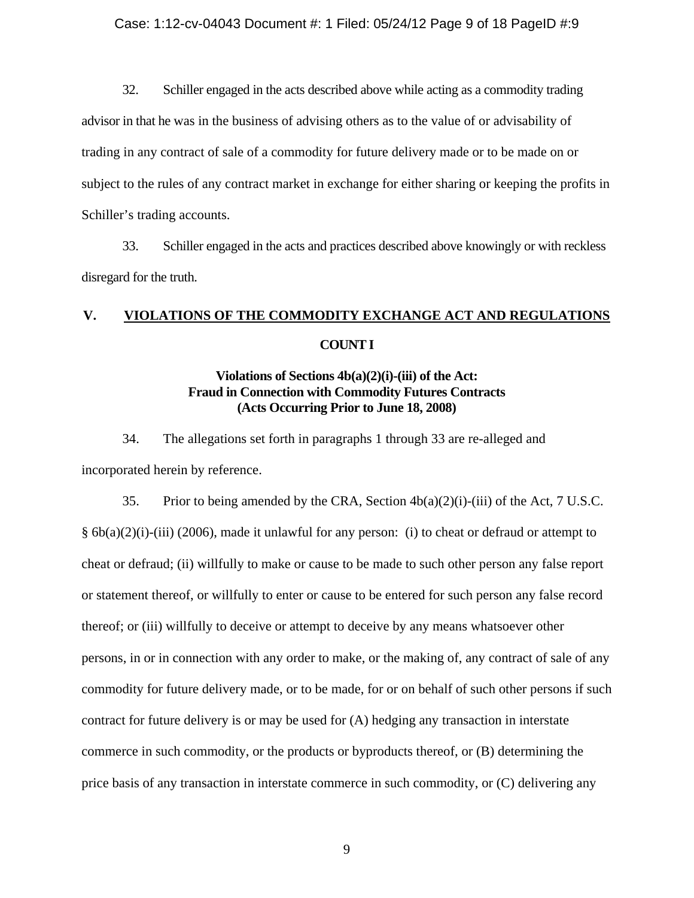## Case: 1:12-cv-04043 Document #: 1 Filed: 05/24/12 Page 9 of 18 PageID #:9

32. Schiller engaged in the acts described above while acting as a commodity trading

advisor in that he was in the business of advising others as to the value of or advisability of trading in any contract of sale of a commodity for future delivery made or to be made on or subject to the rules of any contract market in exchange for either sharing or keeping the profits in Schiller's trading accounts.

33. Schiller engaged in the acts and practices described above knowingly or with reckless disregard for the truth.

# **V. VIOLATIONS OF THE COMMODITY EXCHANGE ACT AND REGULATIONS COUNT I**

# **Violations of Sections 4b(a)(2)(i)-(iii) of the Act: Fraud in Connection with Commodity Futures Contracts (Acts Occurring Prior to June 18, 2008)**

34. The allegations set forth in paragraphs 1 through 33 are re-alleged and incorporated herein by reference.

35. Prior to being amended by the CRA, Section  $4b(a)(2)(i)$ -(iii) of the Act, 7 U.S.C. § 6b(a)(2)(i)-(iii) (2006), made it unlawful for any person: (i) to cheat or defraud or attempt to cheat or defraud; (ii) willfully to make or cause to be made to such other person any false report or statement thereof, or willfully to enter or cause to be entered for such person any false record thereof; or (iii) willfully to deceive or attempt to deceive by any means whatsoever other persons, in or in connection with any order to make, or the making of, any contract of sale of any commodity for future delivery made, or to be made, for or on behalf of such other persons if such contract for future delivery is or may be used for (A) hedging any transaction in interstate commerce in such commodity, or the products or byproducts thereof, or (B) determining the price basis of any transaction in interstate commerce in such commodity, or (C) delivering any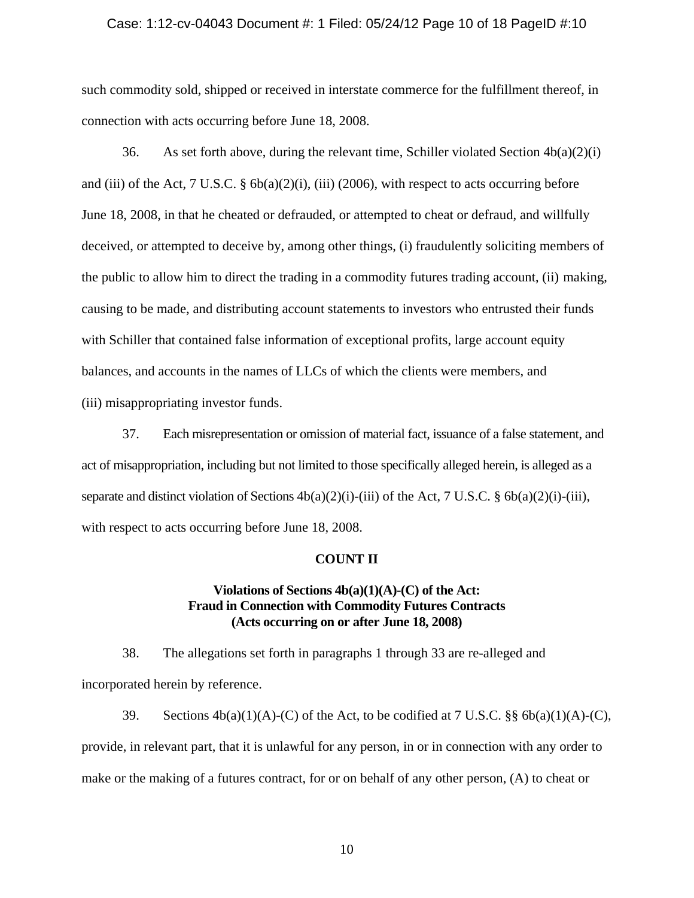#### Case: 1:12-cv-04043 Document #: 1 Filed: 05/24/12 Page 10 of 18 PageID #:10

such commodity sold, shipped or received in interstate commerce for the fulfillment thereof, in connection with acts occurring before June 18, 2008.

36. As set forth above, during the relevant time, Schiller violated Section  $4b(a)(2)(i)$ and (iii) of the Act, 7 U.S.C. § 6b(a)(2)(i), (iii) (2006), with respect to acts occurring before June 18, 2008, in that he cheated or defrauded, or attempted to cheat or defraud, and willfully deceived, or attempted to deceive by, among other things, (i) fraudulently soliciting members of the public to allow him to direct the trading in a commodity futures trading account, (ii) making, causing to be made, and distributing account statements to investors who entrusted their funds with Schiller that contained false information of exceptional profits, large account equity balances, and accounts in the names of LLCs of which the clients were members, and (iii) misappropriating investor funds.

37. Each misrepresentation or omission of material fact, issuance of a false statement, and act of misappropriation, including but not limited to those specifically alleged herein, is alleged as a separate and distinct violation of Sections  $4b(a)(2)(i)$ -(iii) of the Act, 7 U.S.C. §  $6b(a)(2)(i)$ -(iii), with respect to acts occurring before June 18, 2008.

#### **COUNT II**

## **Violations of Sections 4b(a)(1)(A)-(C) of the Act: Fraud in Connection with Commodity Futures Contracts (Acts occurring on or after June 18, 2008)**

38. The allegations set forth in paragraphs 1 through 33 are re-alleged and incorporated herein by reference.

39. Sections  $4b(a)(1)(A)-(C)$  of the Act, to be codified at 7 U.S.C. §§  $6b(a)(1)(A)-(C)$ , provide, in relevant part, that it is unlawful for any person, in or in connection with any order to make or the making of a futures contract, for or on behalf of any other person, (A) to cheat or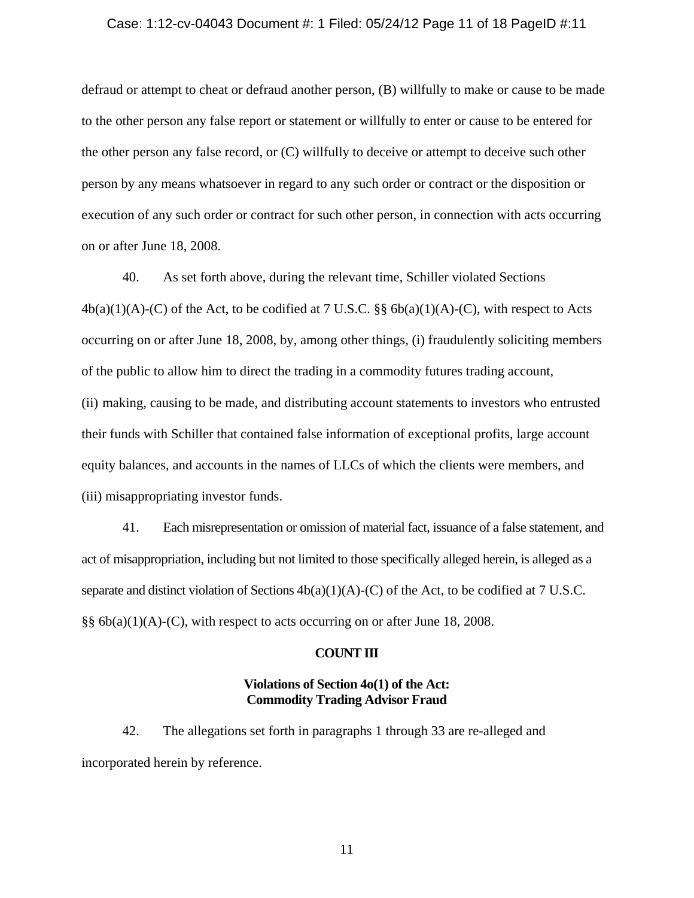#### Case: 1:12-cv-04043 Document #: 1 Filed: 05/24/12 Page 11 of 18 PageID #:11

defraud or attempt to cheat or defraud another person, (B) willfully to make or cause to be made to the other person any false report or statement or willfully to enter or cause to be entered for the other person any false record, or (C) willfully to deceive or attempt to deceive such other person by any means whatsoever in regard to any such order or contract or the disposition or execution of any such order or contract for such other person, in connection with acts occurring on or after June 18, 2008.

40. As set forth above, during the relevant time, Schiller violated Sections  $4b(a)(1)(A)-(C)$  of the Act, to be codified at 7 U.S.C. §§  $6b(a)(1)(A)-(C)$ , with respect to Acts occurring on or after June 18, 2008, by, among other things, (i) fraudulently soliciting members of the public to allow him to direct the trading in a commodity futures trading account, (ii) making, causing to be made, and distributing account statements to investors who entrusted their funds with Schiller that contained false information of exceptional profits, large account equity balances, and accounts in the names of LLCs of which the clients were members, and (iii) misappropriating investor funds.

41. Each misrepresentation or omission of material fact, issuance of a false statement, and act of misappropriation, including but not limited to those specifically alleged herein, is alleged as a separate and distinct violation of Sections  $4b(a)(1)(A)-(C)$  of the Act, to be codified at 7 U.S.C. §§ 6b(a)(1)(A)-(C), with respect to acts occurring on or after June 18, 2008.

#### **COUNT III**

## **Violations of Section 4o(1) of the Act: Commodity Trading Advisor Fraud**

42. The allegations set forth in paragraphs 1 through 33 are re-alleged and incorporated herein by reference.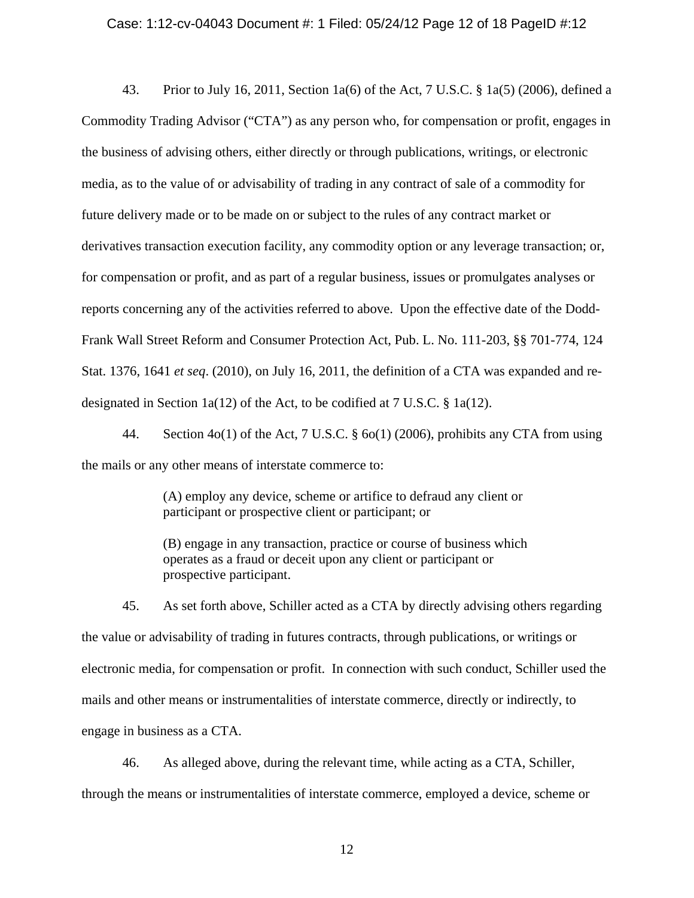#### Case: 1:12-cv-04043 Document #: 1 Filed: 05/24/12 Page 12 of 18 PageID #:12

43. Prior to July 16, 2011, Section 1a(6) of the Act, 7 U.S.C. § 1a(5) (2006), defined a Commodity Trading Advisor ("CTA") as any person who, for compensation or profit, engages in the business of advising others, either directly or through publications, writings, or electronic media, as to the value of or advisability of trading in any contract of sale of a commodity for future delivery made or to be made on or subject to the rules of any contract market or derivatives transaction execution facility, any commodity option or any leverage transaction; or, for compensation or profit, and as part of a regular business, issues or promulgates analyses or reports concerning any of the activities referred to above. Upon the effective date of the Dodd-Frank Wall Street Reform and Consumer Protection Act, Pub. L. No. 111-203, §§ 701-774, 124 Stat. 1376, 1641 *et seq*. (2010), on July 16, 2011, the definition of a CTA was expanded and redesignated in Section 1a(12) of the Act, to be codified at 7 U.S.C. § 1a(12).

44. Section 4o(1) of the Act, 7 U.S.C. § 6o(1) (2006), prohibits any CTA from using the mails or any other means of interstate commerce to:

> (A) employ any device, scheme or artifice to defraud any client or participant or prospective client or participant; or

> (B) engage in any transaction, practice or course of business which operates as a fraud or deceit upon any client or participant or prospective participant.

45. As set forth above, Schiller acted as a CTA by directly advising others regarding the value or advisability of trading in futures contracts, through publications, or writings or electronic media, for compensation or profit. In connection with such conduct, Schiller used the mails and other means or instrumentalities of interstate commerce, directly or indirectly, to engage in business as a CTA.

46. As alleged above, during the relevant time, while acting as a CTA, Schiller, through the means or instrumentalities of interstate commerce, employed a device, scheme or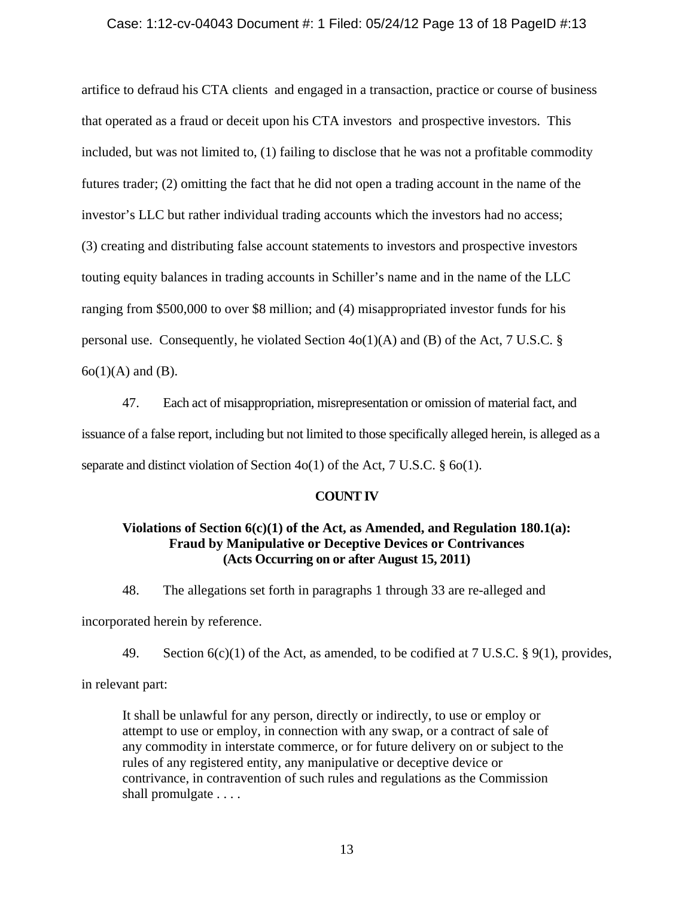### Case: 1:12-cv-04043 Document #: 1 Filed: 05/24/12 Page 13 of 18 PageID #:13

artifice to defraud his CTA clients and engaged in a transaction, practice or course of business that operated as a fraud or deceit upon his CTA investors and prospective investors. This included, but was not limited to, (1) failing to disclose that he was not a profitable commodity futures trader; (2) omitting the fact that he did not open a trading account in the name of the investor's LLC but rather individual trading accounts which the investors had no access; (3) creating and distributing false account statements to investors and prospective investors touting equity balances in trading accounts in Schiller's name and in the name of the LLC ranging from \$500,000 to over \$8 million; and (4) misappropriated investor funds for his personal use. Consequently, he violated Section  $4o(1)(A)$  and (B) of the Act, 7 U.S.C. §  $6o(1)(A)$  and  $(B)$ .

47. Each act of misappropriation, misrepresentation or omission of material fact, and issuance of a false report, including but not limited to those specifically alleged herein, is alleged as a separate and distinct violation of Section 4o(1) of the Act, 7 U.S.C. § 6o(1).

### **COUNT IV**

# **Violations of Section 6(c)(1) of the Act, as Amended, and Regulation 180.1(a): Fraud by Manipulative or Deceptive Devices or Contrivances (Acts Occurring on or after August 15, 2011)**

48. The allegations set forth in paragraphs 1 through 33 are re-alleged and

incorporated herein by reference.

49. Section  $6(c)(1)$  of the Act, as amended, to be codified at 7 U.S.C. § 9(1), provides,

in relevant part:

It shall be unlawful for any person, directly or indirectly, to use or employ or attempt to use or employ, in connection with any swap, or a contract of sale of any commodity in interstate commerce, or for future delivery on or subject to the rules of any registered entity, any manipulative or deceptive device or contrivance, in contravention of such rules and regulations as the Commission shall promulgate . . . .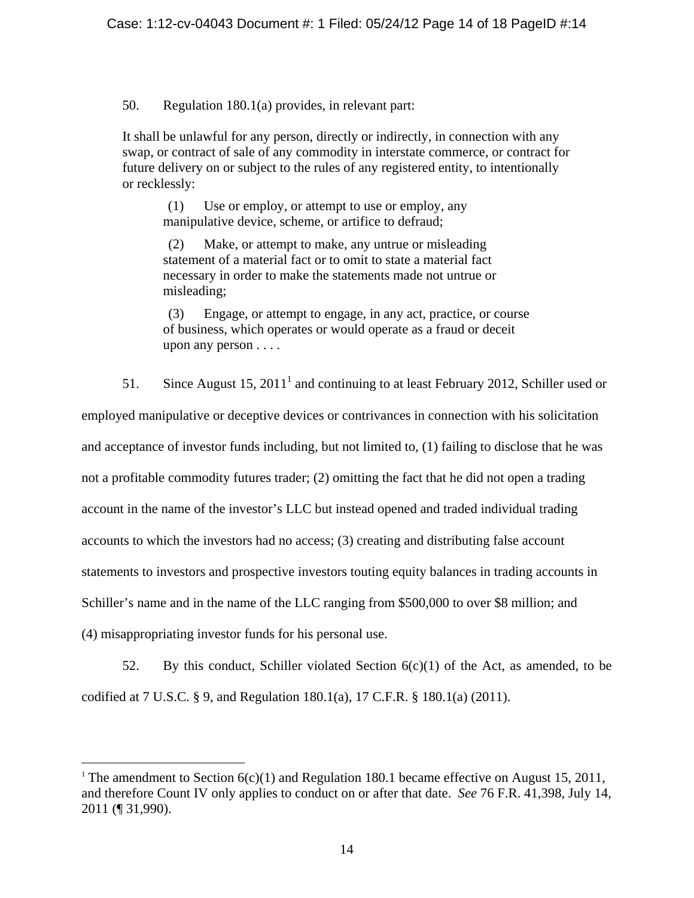50. Regulation 180.1(a) provides, in relevant part:

It shall be unlawful for any person, directly or indirectly, in connection with any swap, or contract of sale of any commodity in interstate commerce, or contract for future delivery on or subject to the rules of any registered entity, to intentionally or recklessly:

(1) Use or employ, or attempt to use or employ, any manipulative device, scheme, or artifice to defraud;

(2) Make, or attempt to make, any untrue or misleading statement of a material fact or to omit to state a material fact necessary in order to make the statements made not untrue or misleading;

(3) Engage, or attempt to engage, in any act, practice, or course of business, which operates or would operate as a fraud or deceit upon any person . . . .

51. Since August 15,  $2011<sup>1</sup>$  and continuing to at least February 2012, Schiller used or

employed manipulative or deceptive devices or contrivances in connection with his solicitation and acceptance of investor funds including, but not limited to, (1) failing to disclose that he was not a profitable commodity futures trader; (2) omitting the fact that he did not open a trading account in the name of the investor's LLC but instead opened and traded individual trading accounts to which the investors had no access; (3) creating and distributing false account statements to investors and prospective investors touting equity balances in trading accounts in Schiller's name and in the name of the LLC ranging from \$500,000 to over \$8 million; and (4) misappropriating investor funds for his personal use.

52. By this conduct, Schiller violated Section  $6(c)(1)$  of the Act, as amended, to be codified at 7 U.S.C. § 9, and Regulation 180.1(a), 17 C.F.R. § 180.1(a) (2011).

 $\overline{a}$ 

<sup>&</sup>lt;sup>1</sup> The amendment to Section  $6(c)(1)$  and Regulation 180.1 became effective on August 15, 2011, and therefore Count IV only applies to conduct on or after that date. *See* 76 F.R. 41,398, July 14, 2011 (¶ 31,990).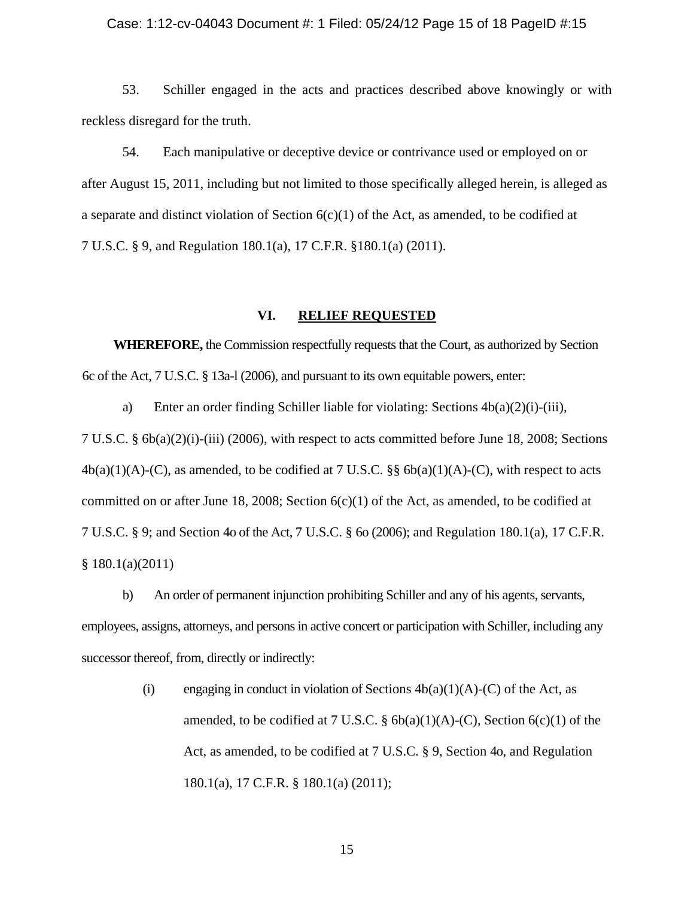#### Case: 1:12-cv-04043 Document #: 1 Filed: 05/24/12 Page 15 of 18 PageID #:15

53. Schiller engaged in the acts and practices described above knowingly or with reckless disregard for the truth.

54. Each manipulative or deceptive device or contrivance used or employed on or after August 15, 2011, including but not limited to those specifically alleged herein, is alleged as a separate and distinct violation of Section  $6(c)(1)$  of the Act, as amended, to be codified at 7 U.S.C. § 9, and Regulation 180.1(a), 17 C.F.R. §180.1(a) (2011).

#### **VI. RELIEF REQUESTED**

**WHEREFORE,** the Commission respectfully requests that the Court, as authorized by Section 6c of the Act, 7 U.S.C. § 13a-l (2006), and pursuant to its own equitable powers, enter:

a) Enter an order finding Schiller liable for violating: Sections  $4b(a)(2)(i)-(iii)$ , 7 U.S.C. § 6b(a)(2)(i)-(iii) (2006), with respect to acts committed before June 18, 2008; Sections  $4b(a)(1)(A)-(C)$ , as amended, to be codified at 7 U.S.C. §§  $6b(a)(1)(A)-(C)$ , with respect to acts committed on or after June 18, 2008; Section  $6(c)(1)$  of the Act, as amended, to be codified at 7 U.S.C. § 9; and Section 4o of the Act, 7 U.S.C. § 6o (2006); and Regulation 180.1(a), 17 C.F.R. § 180.1(a)(2011)

b) An order of permanent injunction prohibiting Schiller and any of his agents, servants, employees, assigns, attorneys, and persons in active concert or participation with Schiller, including any successor thereof, from, directly or indirectly:

> (i) engaging in conduct in violation of Sections  $4b(a)(1)(A)-(C)$  of the Act, as amended, to be codified at 7 U.S.C.  $\S$  6b(a)(1)(A)-(C), Section 6(c)(1) of the Act, as amended, to be codified at 7 U.S.C. § 9, Section 4o, and Regulation 180.1(a), 17 C.F.R. § 180.1(a) (2011);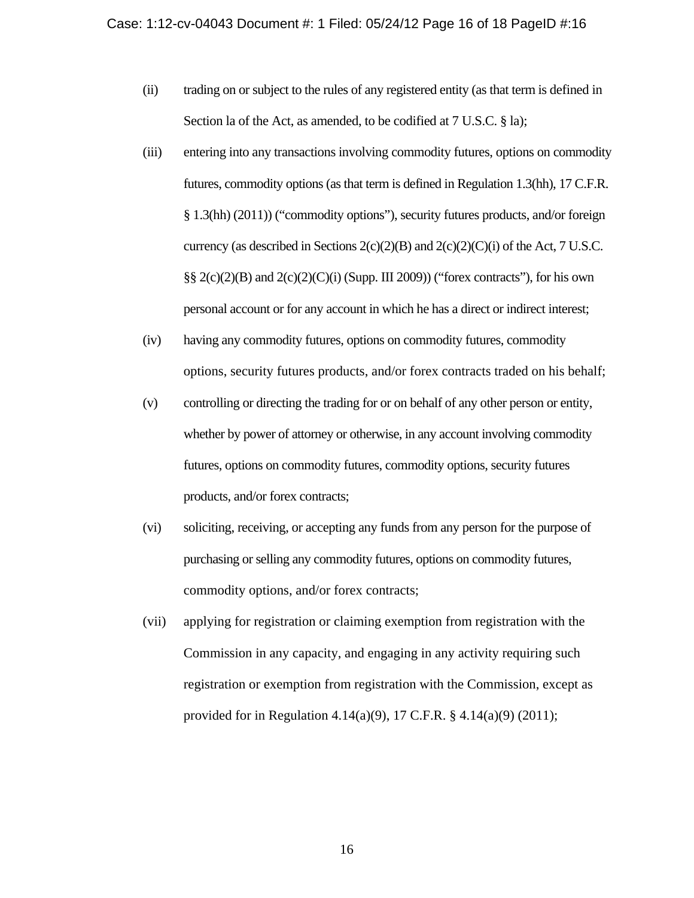- (ii) trading on or subject to the rules of any registered entity (as that term is defined in Section la of the Act, as amended, to be codified at 7 U.S.C. § la);
- (iii) entering into any transactions involving commodity futures, options on commodity futures, commodity options (as that term is defined in Regulation 1.3(hh), 17 C.F.R. § 1.3(hh) (2011)) ("commodity options"), security futures products, and/or foreign currency (as described in Sections  $2(c)(2)(B)$  and  $2(c)(2)(C)(i)$  of the Act, 7 U.S.C.  $\S\S 2(c)(2)(B)$  and  $2(c)(2)(C)(i)$  (Supp. III 2009)) ("forex contracts"), for his own personal account or for any account in which he has a direct or indirect interest;
- (iv) having any commodity futures, options on commodity futures, commodity options, security futures products, and/or forex contracts traded on his behalf;
- (v) controlling or directing the trading for or on behalf of any other person or entity, whether by power of attorney or otherwise, in any account involving commodity futures, options on commodity futures, commodity options, security futures products, and/or forex contracts;
- (vi) soliciting, receiving, or accepting any funds from any person for the purpose of purchasing or selling any commodity futures, options on commodity futures, commodity options, and/or forex contracts;
- (vii) applying for registration or claiming exemption from registration with the Commission in any capacity, and engaging in any activity requiring such registration or exemption from registration with the Commission, except as provided for in Regulation 4.14(a)(9), 17 C.F.R. § 4.14(a)(9) (2011);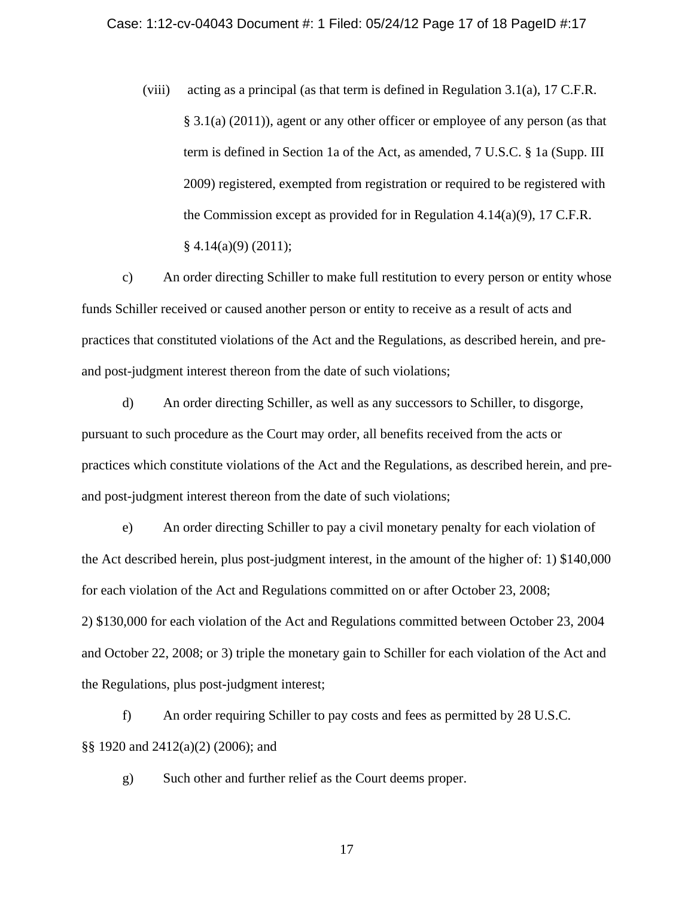(viii) acting as a principal (as that term is defined in Regulation 3.1(a), 17 C.F.R. § 3.1(a) (2011)), agent or any other officer or employee of any person (as that term is defined in Section 1a of the Act, as amended, 7 U.S.C. § 1a (Supp. III 2009) registered, exempted from registration or required to be registered with the Commission except as provided for in Regulation 4.14(a)(9), 17 C.F.R.  $§$  4.14(a)(9) (2011);

c) An order directing Schiller to make full restitution to every person or entity whose funds Schiller received or caused another person or entity to receive as a result of acts and practices that constituted violations of the Act and the Regulations, as described herein, and preand post-judgment interest thereon from the date of such violations;

d) An order directing Schiller, as well as any successors to Schiller, to disgorge, pursuant to such procedure as the Court may order, all benefits received from the acts or practices which constitute violations of the Act and the Regulations, as described herein, and preand post-judgment interest thereon from the date of such violations;

e) An order directing Schiller to pay a civil monetary penalty for each violation of the Act described herein, plus post-judgment interest, in the amount of the higher of: 1) \$140,000 for each violation of the Act and Regulations committed on or after October 23, 2008; 2) \$130,000 for each violation of the Act and Regulations committed between October 23, 2004 and October 22, 2008; or 3) triple the monetary gain to Schiller for each violation of the Act and the Regulations, plus post-judgment interest;

f) An order requiring Schiller to pay costs and fees as permitted by 28 U.S.C. §§ 1920 and 2412(a)(2) (2006); and

g) Such other and further relief as the Court deems proper.